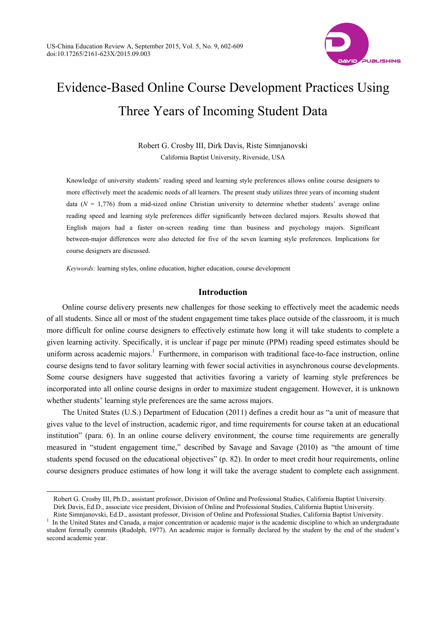

# Evidence-Based Online Course Development Practices Using Three Years of Incoming Student Data

Robert G. Crosby III, Dirk Davis, Riste Simnjanovski California Baptist University, Riverside, USA

Knowledge of university students' reading speed and learning style preferences allows online course designers to more effectively meet the academic needs of all learners. The present study utilizes three years of incoming student data ( $N = 1,776$ ) from a mid-sized online Christian university to determine whether students' average online reading speed and learning style preferences differ significantly between declared majors. Results showed that English majors had a faster on-screen reading time than business and psychology majors. Significant between-major differences were also detected for five of the seven learning style preferences. Implications for course designers are discussed.

*Keywords:* learning styles, online education, higher education, course development

 $\overline{a}$ 

# **Introduction**

Online course delivery presents new challenges for those seeking to effectively meet the academic needs of all students. Since all or most of the student engagement time takes place outside of the classroom, it is much more difficult for online course designers to effectively estimate how long it will take students to complete a given learning activity. Specifically, it is unclear if page per minute (PPM) reading speed estimates should be uniform across academic majors.<sup>1</sup> Furthermore, in comparison with traditional face-to-face instruction, online course designs tend to favor solitary learning with fewer social activities in asynchronous course developments. Some course designers have suggested that activities favoring a variety of learning style preferences be incorporated into all online course designs in order to maximize student engagement. However, it is unknown whether students' learning style preferences are the same across majors.

The United States (U.S.) Department of Education (2011) defines a credit hour as "a unit of measure that gives value to the level of instruction, academic rigor, and time requirements for course taken at an educational institution" (para. 6). In an online course delivery environment, the course time requirements are generally measured in "student engagement time," described by Savage and Savage (2010) as "the amount of time students spend focused on the educational objectives" (p. 82). In order to meet credit hour requirements, online course designers produce estimates of how long it will take the average student to complete each assignment.

Robert G. Crosby III, Ph.D., assistant professor, Division of Online and Professional Studies, California Baptist University. Dirk Davis, Ed.D., associate vice president, Division of Online and Professional Studies, California Baptist University.

Riste Simnjanovski, Ed.D., assistant professor, Division of Online and Professional Studies, California Baptist University. 1 In the United States and Canada, a major concentration or academic major is the academic discipline to which an undergraduate

student formally commits (Rudolph, 1977). An academic major is formally declared by the student by the end of the student's second academic year.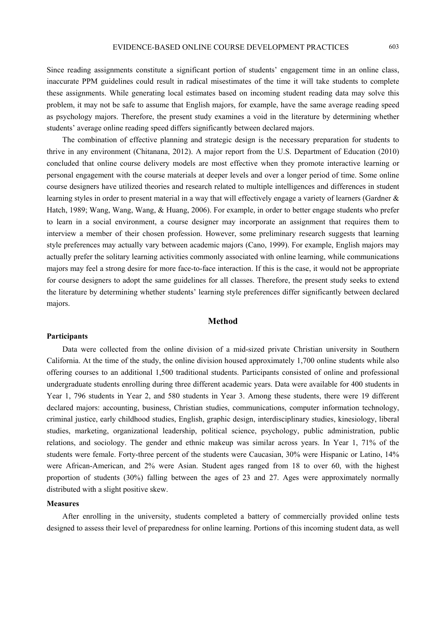Since reading assignments constitute a significant portion of students' engagement time in an online class, inaccurate PPM guidelines could result in radical misestimates of the time it will take students to complete these assignments. While generating local estimates based on incoming student reading data may solve this problem, it may not be safe to assume that English majors, for example, have the same average reading speed as psychology majors. Therefore, the present study examines a void in the literature by determining whether students' average online reading speed differs significantly between declared majors.

The combination of effective planning and strategic design is the necessary preparation for students to thrive in any environment (Chitanana, 2012). A major report from the U.S. Department of Education (2010) concluded that online course delivery models are most effective when they promote interactive learning or personal engagement with the course materials at deeper levels and over a longer period of time. Some online course designers have utilized theories and research related to multiple intelligences and differences in student learning styles in order to present material in a way that will effectively engage a variety of learners (Gardner & Hatch, 1989; Wang, Wang, Wang, & Huang, 2006). For example, in order to better engage students who prefer to learn in a social environment, a course designer may incorporate an assignment that requires them to interview a member of their chosen profession. However, some preliminary research suggests that learning style preferences may actually vary between academic majors (Cano, 1999). For example, English majors may actually prefer the solitary learning activities commonly associated with online learning, while communications majors may feel a strong desire for more face-to-face interaction. If this is the case, it would not be appropriate for course designers to adopt the same guidelines for all classes. Therefore, the present study seeks to extend the literature by determining whether students' learning style preferences differ significantly between declared majors.

## **Method**

#### **Participants**

Data were collected from the online division of a mid-sized private Christian university in Southern California. At the time of the study, the online division housed approximately 1,700 online students while also offering courses to an additional 1,500 traditional students. Participants consisted of online and professional undergraduate students enrolling during three different academic years. Data were available for 400 students in Year 1, 796 students in Year 2, and 580 students in Year 3. Among these students, there were 19 different declared majors: accounting, business, Christian studies, communications, computer information technology, criminal justice, early childhood studies, English, graphic design, interdisciplinary studies, kinesiology, liberal studies, marketing, organizational leadership, political science, psychology, public administration, public relations, and sociology. The gender and ethnic makeup was similar across years. In Year 1, 71% of the students were female. Forty-three percent of the students were Caucasian, 30% were Hispanic or Latino, 14% were African-American, and 2% were Asian. Student ages ranged from 18 to over 60, with the highest proportion of students (30%) falling between the ages of 23 and 27. Ages were approximately normally distributed with a slight positive skew.

## **Measures**

After enrolling in the university, students completed a battery of commercially provided online tests designed to assess their level of preparedness for online learning. Portions of this incoming student data, as well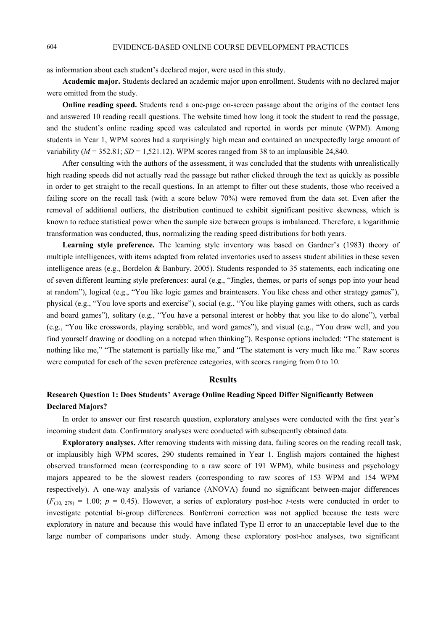as information about each student's declared major, were used in this study.

**Academic major.** Students declared an academic major upon enrollment. Students with no declared major were omitted from the study.

**Online reading speed.** Students read a one-page on-screen passage about the origins of the contact lens and answered 10 reading recall questions. The website timed how long it took the student to read the passage, and the student's online reading speed was calculated and reported in words per minute (WPM). Among students in Year 1, WPM scores had a surprisingly high mean and contained an unexpectedly large amount of variability ( $M = 352.81$ ;  $SD = 1,521.12$ ). WPM scores ranged from 38 to an implausible 24,840.

After consulting with the authors of the assessment, it was concluded that the students with unrealistically high reading speeds did not actually read the passage but rather clicked through the text as quickly as possible in order to get straight to the recall questions. In an attempt to filter out these students, those who received a failing score on the recall task (with a score below 70%) were removed from the data set. Even after the removal of additional outliers, the distribution continued to exhibit significant positive skewness, which is known to reduce statistical power when the sample size between groups is imbalanced. Therefore, a logarithmic transformation was conducted, thus, normalizing the reading speed distributions for both years.

**Learning style preference.** The learning style inventory was based on Gardner's (1983) theory of multiple intelligences, with items adapted from related inventories used to assess student abilities in these seven intelligence areas (e.g., Bordelon & Banbury, 2005). Students responded to 35 statements, each indicating one of seven different learning style preferences: aural (e.g., "Jingles, themes, or parts of songs pop into your head at random"), logical (e.g., "You like logic games and brainteasers. You like chess and other strategy games"), physical (e.g., "You love sports and exercise"), social (e.g., "You like playing games with others, such as cards and board games"), solitary (e.g., "You have a personal interest or hobby that you like to do alone"), verbal (e.g., "You like crosswords, playing scrabble, and word games"), and visual (e.g., "You draw well, and you find yourself drawing or doodling on a notepad when thinking"). Response options included: "The statement is nothing like me," "The statement is partially like me," and "The statement is very much like me." Raw scores were computed for each of the seven preference categories, with scores ranging from 0 to 10.

### **Results**

# **Research Question 1: Does Students' Average Online Reading Speed Differ Significantly Between Declared Majors?**

In order to answer our first research question, exploratory analyses were conducted with the first year's incoming student data. Confirmatory analyses were conducted with subsequently obtained data.

**Exploratory analyses.** After removing students with missing data, failing scores on the reading recall task, or implausibly high WPM scores, 290 students remained in Year 1. English majors contained the highest observed transformed mean (corresponding to a raw score of 191 WPM), while business and psychology majors appeared to be the slowest readers (corresponding to raw scores of 153 WPM and 154 WPM respectively). A one-way analysis of variance (ANOVA) found no significant between-major differences  $(F_{(10, 279)} = 1.00; p = 0.45)$ . However, a series of exploratory post-hoc *t*-tests were conducted in order to investigate potential bi-group differences. Bonferroni correction was not applied because the tests were exploratory in nature and because this would have inflated Type II error to an unacceptable level due to the large number of comparisons under study. Among these exploratory post-hoc analyses, two significant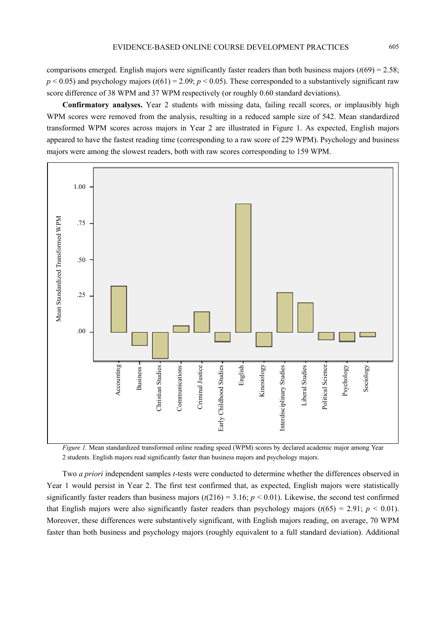comparisons emerged. English majors were significantly faster readers than both business majors  $(t(69) = 2.58)$ ;  $p < 0.05$ ) and psychology majors ( $t(61) = 2.09$ ;  $p < 0.05$ ). These corresponded to a substantively significant raw score difference of 38 WPM and 37 WPM respectively (or roughly 0.60 standard deviations).

**Confirmatory analyses.** Year 2 students with missing data, failing recall scores, or implausibly high WPM scores were removed from the analysis, resulting in a reduced sample size of 542. Mean standardized transformed WPM scores across majors in Year 2 are illustrated in Figure 1. As expected, English majors appeared to have the fastest reading time (corresponding to a raw score of 229 WPM). Psychology and business majors were among the slowest readers, both with raw scores corresponding to 159 WPM.



*Figure 1.* Mean standardized transformed online reading speed (WPM) scores by declared academic major among Year 2 students. English majors read significantly faster than business majors and psychology majors.

Two *a priori* independent samples *t*-tests were conducted to determine whether the differences observed in Year 1 would persist in Year 2. The first test confirmed that, as expected, English majors were statistically significantly faster readers than business majors  $(t(216) = 3.16; p < 0.01)$ . Likewise, the second test confirmed that English majors were also significantly faster readers than psychology majors  $(t(65) = 2.91; p < 0.01)$ . Moreover, these differences were substantively significant, with English majors reading, on average, 70 WPM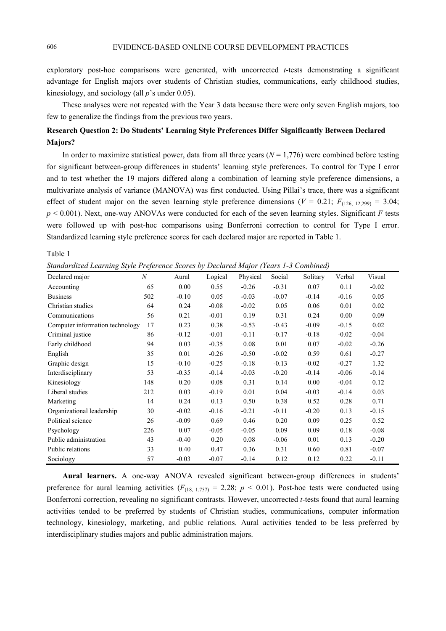exploratory post-hoc comparisons were generated, with uncorrected *t*-tests demonstrating a significant advantage for English majors over students of Christian studies, communications, early childhood studies, kinesiology, and sociology (all *p*'s under 0.05).

These analyses were not repeated with the Year 3 data because there were only seven English majors, too few to generalize the findings from the previous two years.

# **Research Question 2: Do Students' Learning Style Preferences Differ Significantly Between Declared Majors?**

In order to maximize statistical power, data from all three years  $(N = 1,776)$  were combined before testing for significant between-group differences in students' learning style preferences. To control for Type I error and to test whether the 19 majors differed along a combination of learning style preference dimensions, a multivariate analysis of variance (MANOVA) was first conducted. Using Pillai's trace, there was a significant effect of student major on the seven learning style preference dimensions ( $V = 0.21$ ;  $F_{(126, 12,299)} = 3.04$ ; *p* < 0.001). Next, one-way ANOVAs were conducted for each of the seven learning styles. Significant *F* tests were followed up with post-hoc comparisons using Bonferroni correction to control for Type I error. Standardized learning style preference scores for each declared major are reported in Table 1.

Table 1

*Standardized Learning Style Preference Scores by Declared Major (Years 1-3 Combined)* 

| Declared major                  | $\boldsymbol{N}$ | Aural   | Logical | Physical | Social  | Solitary | Verbal  | Visual  |
|---------------------------------|------------------|---------|---------|----------|---------|----------|---------|---------|
| Accounting                      | 65               | 0.00    | 0.55    | $-0.26$  | $-0.31$ | 0.07     | 0.11    | $-0.02$ |
| <b>Business</b>                 | 502              | $-0.10$ | 0.05    | $-0.03$  | $-0.07$ | $-0.14$  | $-0.16$ | 0.05    |
| Christian studies               | 64               | 0.24    | $-0.08$ | $-0.02$  | 0.05    | 0.06     | 0.01    | 0.02    |
| Communications                  | 56               | 0.21    | $-0.01$ | 0.19     | 0.31    | 0.24     | 0.00    | 0.09    |
| Computer information technology | 17               | 0.23    | 0.38    | $-0.53$  | $-0.43$ | $-0.09$  | $-0.15$ | 0.02    |
| Criminal justice                | 86               | $-0.12$ | $-0.01$ | $-0.11$  | $-0.17$ | $-0.18$  | $-0.02$ | $-0.04$ |
| Early childhood                 | 94               | 0.03    | $-0.35$ | 0.08     | 0.01    | 0.07     | $-0.02$ | $-0.26$ |
| English                         | 35               | 0.01    | $-0.26$ | $-0.50$  | $-0.02$ | 0.59     | 0.61    | $-0.27$ |
| Graphic design                  | 15               | $-0.10$ | $-0.25$ | $-0.18$  | $-0.13$ | $-0.02$  | $-0.27$ | 1.32    |
| Interdisciplinary               | 53               | $-0.35$ | $-0.14$ | $-0.03$  | $-0.20$ | $-0.14$  | $-0.06$ | $-0.14$ |
| Kinesiology                     | 148              | 0.20    | 0.08    | 0.31     | 0.14    | 0.00     | $-0.04$ | 0.12    |
| Liberal studies                 | 212              | 0.03    | $-0.19$ | 0.01     | 0.04    | $-0.03$  | $-0.14$ | 0.03    |
| Marketing                       | 14               | 0.24    | 0.13    | 0.50     | 0.38    | 0.52     | 0.28    | 0.71    |
| Organizational leadership       | 30               | $-0.02$ | $-0.16$ | $-0.21$  | $-0.11$ | $-0.20$  | 0.13    | $-0.15$ |
| Political science               | 26               | $-0.09$ | 0.69    | 0.46     | 0.20    | 0.09     | 0.25    | 0.52    |
| Psychology                      | 226              | 0.07    | $-0.05$ | $-0.05$  | 0.09    | 0.09     | 0.18    | $-0.08$ |
| Public administration           | 43               | $-0.40$ | 0.20    | 0.08     | $-0.06$ | 0.01     | 0.13    | $-0.20$ |
| Public relations                | 33               | 0.40    | 0.47    | 0.36     | 0.31    | 0.60     | 0.81    | $-0.07$ |
| Sociology                       | 57               | $-0.03$ | $-0.07$ | $-0.14$  | 0.12    | 0.12     | 0.22    | $-0.11$ |

**Aural learners.** A one-way ANOVA revealed significant between-group differences in students' preference for aural learning activities  $(F_{(18, 1,757)} = 2.28; p < 0.01)$ . Post-hoc tests were conducted using Bonferroni correction, revealing no significant contrasts. However, uncorrected *t*-tests found that aural learning activities tended to be preferred by students of Christian studies, communications, computer information technology, kinesiology, marketing, and public relations. Aural activities tended to be less preferred by interdisciplinary studies majors and public administration majors.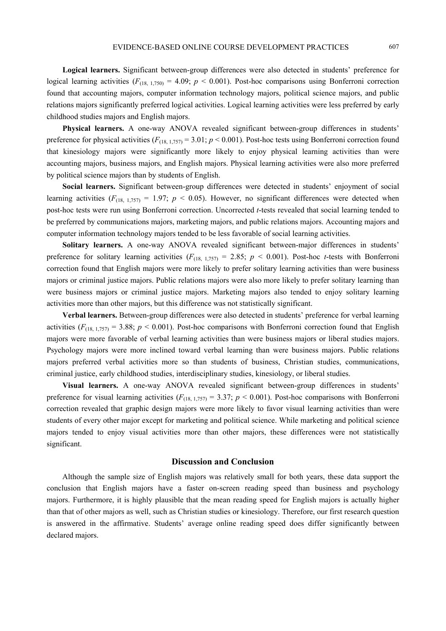**Logical learners.** Significant between-group differences were also detected in students' preference for logical learning activities  $(F_{(18, 1,750)} = 4.09; p < 0.001)$ . Post-hoc comparisons using Bonferroni correction found that accounting majors, computer information technology majors, political science majors, and public relations majors significantly preferred logical activities. Logical learning activities were less preferred by early childhood studies majors and English majors.

**Physical learners.** A one-way ANOVA revealed significant between-group differences in students' preference for physical activities ( $F_{(18, 1,757)} = 3.01$ ;  $p < 0.001$ ). Post-hoc tests using Bonferroni correction found that kinesiology majors were significantly more likely to enjoy physical learning activities than were accounting majors, business majors, and English majors. Physical learning activities were also more preferred by political science majors than by students of English.

**Social learners.** Significant between-group differences were detected in students' enjoyment of social learning activities  $(F_{(18, 1,757)} = 1.97; p < 0.05)$ . However, no significant differences were detected when post-hoc tests were run using Bonferroni correction. Uncorrected *t*-tests revealed that social learning tended to be preferred by communications majors, marketing majors, and public relations majors. Accounting majors and computer information technology majors tended to be less favorable of social learning activities.

**Solitary learners.** A one-way ANOVA revealed significant between-major differences in students' preference for solitary learning activities  $(F_{(18, 1,757)} = 2.85; p < 0.001)$ . Post-hoc *t*-tests with Bonferroni correction found that English majors were more likely to prefer solitary learning activities than were business majors or criminal justice majors. Public relations majors were also more likely to prefer solitary learning than were business majors or criminal justice majors. Marketing majors also tended to enjoy solitary learning activities more than other majors, but this difference was not statistically significant.

**Verbal learners.** Between-group differences were also detected in students' preference for verbal learning activities  $(F_{(18, 1,757)} = 3.88; p < 0.001)$ . Post-hoc comparisons with Bonferroni correction found that English majors were more favorable of verbal learning activities than were business majors or liberal studies majors. Psychology majors were more inclined toward verbal learning than were business majors. Public relations majors preferred verbal activities more so than students of business, Christian studies, communications, criminal justice, early childhood studies, interdisciplinary studies, kinesiology, or liberal studies.

**Visual learners.** A one-way ANOVA revealed significant between-group differences in students' preference for visual learning activities  $(F_{(18, 1.757)} = 3.37; p < 0.001)$ . Post-hoc comparisons with Bonferroni correction revealed that graphic design majors were more likely to favor visual learning activities than were students of every other major except for marketing and political science. While marketing and political science majors tended to enjoy visual activities more than other majors, these differences were not statistically significant.

## **Discussion and Conclusion**

Although the sample size of English majors was relatively small for both years, these data support the conclusion that English majors have a faster on-screen reading speed than business and psychology majors. Furthermore, it is highly plausible that the mean reading speed for English majors is actually higher than that of other majors as well, such as Christian studies or kinesiology. Therefore, our first research question is answered in the affirmative. Students' average online reading speed does differ significantly between declared majors.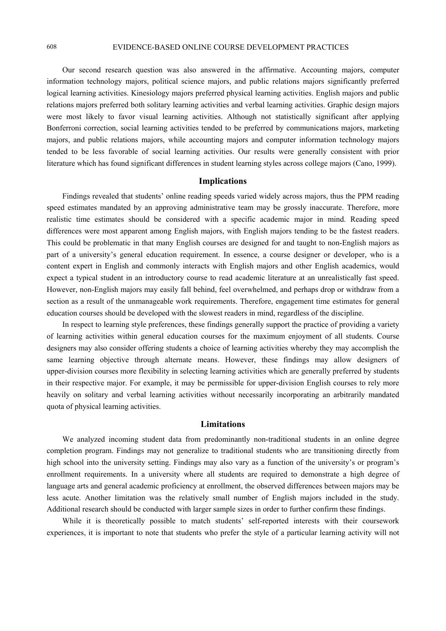# 608 EVIDENCE-BASED ONLINE COURSE DEVELOPMENT PRACTICES

Our second research question was also answered in the affirmative. Accounting majors, computer information technology majors, political science majors, and public relations majors significantly preferred logical learning activities. Kinesiology majors preferred physical learning activities. English majors and public relations majors preferred both solitary learning activities and verbal learning activities. Graphic design majors were most likely to favor visual learning activities. Although not statistically significant after applying Bonferroni correction, social learning activities tended to be preferred by communications majors, marketing majors, and public relations majors, while accounting majors and computer information technology majors tended to be less favorable of social learning activities. Our results were generally consistent with prior literature which has found significant differences in student learning styles across college majors (Cano, 1999).

#### **Implications**

Findings revealed that students' online reading speeds varied widely across majors, thus the PPM reading speed estimates mandated by an approving administrative team may be grossly inaccurate. Therefore, more realistic time estimates should be considered with a specific academic major in mind. Reading speed differences were most apparent among English majors, with English majors tending to be the fastest readers. This could be problematic in that many English courses are designed for and taught to non-English majors as part of a university's general education requirement. In essence, a course designer or developer, who is a content expert in English and commonly interacts with English majors and other English academics, would expect a typical student in an introductory course to read academic literature at an unrealistically fast speed. However, non-English majors may easily fall behind, feel overwhelmed, and perhaps drop or withdraw from a section as a result of the unmanageable work requirements. Therefore, engagement time estimates for general education courses should be developed with the slowest readers in mind, regardless of the discipline.

In respect to learning style preferences, these findings generally support the practice of providing a variety of learning activities within general education courses for the maximum enjoyment of all students. Course designers may also consider offering students a choice of learning activities whereby they may accomplish the same learning objective through alternate means. However, these findings may allow designers of upper-division courses more flexibility in selecting learning activities which are generally preferred by students in their respective major. For example, it may be permissible for upper-division English courses to rely more heavily on solitary and verbal learning activities without necessarily incorporating an arbitrarily mandated quota of physical learning activities.

## **Limitations**

We analyzed incoming student data from predominantly non-traditional students in an online degree completion program. Findings may not generalize to traditional students who are transitioning directly from high school into the university setting. Findings may also vary as a function of the university's or program's enrollment requirements. In a university where all students are required to demonstrate a high degree of language arts and general academic proficiency at enrollment, the observed differences between majors may be less acute. Another limitation was the relatively small number of English majors included in the study. Additional research should be conducted with larger sample sizes in order to further confirm these findings.

While it is theoretically possible to match students' self-reported interests with their coursework experiences, it is important to note that students who prefer the style of a particular learning activity will not